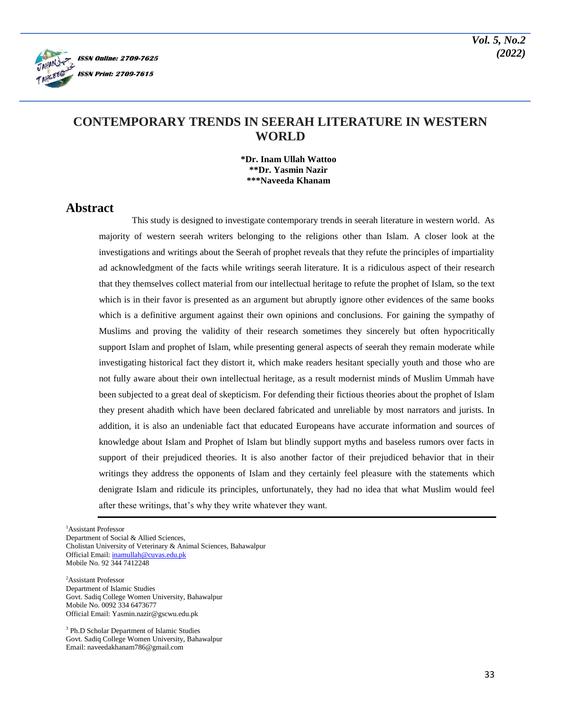

# **CONTEMPORARY TRENDS IN SEERAH LITERATURE IN WESTERN WORLD**

**\*Dr. Inam Ullah Wattoo \*\*Dr. Yasmin Nazir \*\*\*Naveeda Khanam**

## **Abstract**

This study is designed to investigate contemporary trends in seerah literature in western world. As majority of western seerah writers belonging to the religions other than Islam. A closer look at the investigations and writings about the Seerah of prophet reveals that they refute the principles of impartiality ad acknowledgment of the facts while writings seerah literature. It is a ridiculous aspect of their research that they themselves collect material from our intellectual heritage to refute the prophet of Islam, so the text which is in their favor is presented as an argument but abruptly ignore other evidences of the same books which is a definitive argument against their own opinions and conclusions. For gaining the sympathy of Muslims and proving the validity of their research sometimes they sincerely but often hypocritically support Islam and prophet of Islam, while presenting general aspects of seerah they remain moderate while investigating historical fact they distort it, which make readers hesitant specially youth and those who are not fully aware about their own intellectual heritage, as a result modernist minds of Muslim Ummah have been subjected to a great deal of skepticism. For defending their fictious theories about the prophet of Islam they present ahadith which have been declared fabricated and unreliable by most narrators and jurists. In addition, it is also an undeniable fact that educated Europeans have accurate information and sources of knowledge about Islam and Prophet of Islam but blindly support myths and baseless rumors over facts in support of their prejudiced theories. It is also another factor of their prejudiced behavior that in their writings they address the opponents of Islam and they certainly feel pleasure with the statements which denigrate Islam and ridicule its principles, unfortunately, they had no idea that what Muslim would feel after these writings, that's why they write whatever they want.

<sup>1</sup>Assistant Professor

Department of Social & Allied Sciences,

Cholistan University of Veterinary & Animal Sciences, Bahawalpur Official Email[: inamullah@cuvas.edu.pk](mailto:inamullah@cuvas.edu.pk)

Mobile No. 92 344 7412248

<sup>2</sup>Assistant Professor Department of Islamic Studies Govt. Sadiq College Women University, Bahawalpur Mobile No. 0092 334 6473677 Official Email: Yasmin.nazir@gscwu.edu.pk

<sup>3</sup> Ph.D Scholar Department of Islamic Studies Govt. Sadiq College Women University, Bahawalpur Email: naveedakhanam786@gmail.com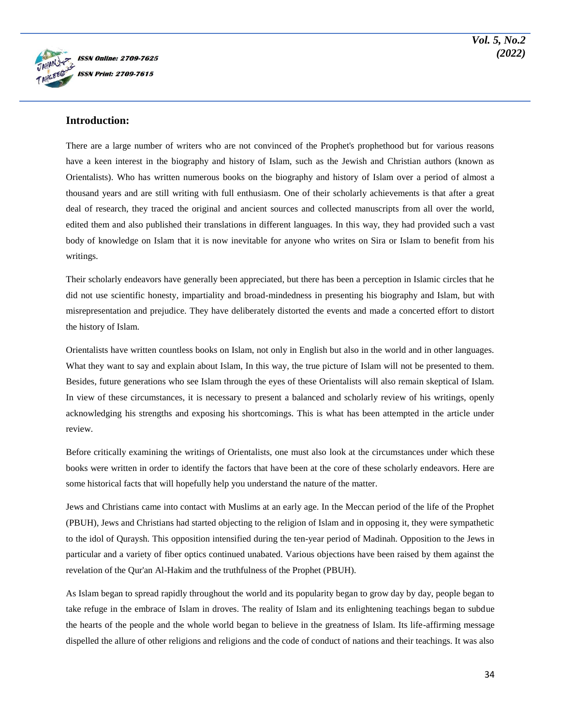

### **Introduction:**

There are a large number of writers who are not convinced of the Prophet's prophethood but for various reasons have a keen interest in the biography and history of Islam, such as the Jewish and Christian authors (known as Orientalists). Who has written numerous books on the biography and history of Islam over a period of almost a thousand years and are still writing with full enthusiasm. One of their scholarly achievements is that after a great deal of research, they traced the original and ancient sources and collected manuscripts from all over the world, edited them and also published their translations in different languages. In this way, they had provided such a vast body of knowledge on Islam that it is now inevitable for anyone who writes on Sira or Islam to benefit from his writings.

Their scholarly endeavors have generally been appreciated, but there has been a perception in Islamic circles that he did not use scientific honesty, impartiality and broad-mindedness in presenting his biography and Islam, but with misrepresentation and prejudice. They have deliberately distorted the events and made a concerted effort to distort the history of Islam.

Orientalists have written countless books on Islam, not only in English but also in the world and in other languages. What they want to say and explain about Islam, In this way, the true picture of Islam will not be presented to them. Besides, future generations who see Islam through the eyes of these Orientalists will also remain skeptical of Islam. In view of these circumstances, it is necessary to present a balanced and scholarly review of his writings, openly acknowledging his strengths and exposing his shortcomings. This is what has been attempted in the article under review.

Before critically examining the writings of Orientalists, one must also look at the circumstances under which these books were written in order to identify the factors that have been at the core of these scholarly endeavors. Here are some historical facts that will hopefully help you understand the nature of the matter.

Jews and Christians came into contact with Muslims at an early age. In the Meccan period of the life of the Prophet (PBUH), Jews and Christians had started objecting to the religion of Islam and in opposing it, they were sympathetic to the idol of Quraysh. This opposition intensified during the ten-year period of Madinah. Opposition to the Jews in particular and a variety of fiber optics continued unabated. Various objections have been raised by them against the revelation of the Qur'an Al-Hakim and the truthfulness of the Prophet (PBUH).

As Islam began to spread rapidly throughout the world and its popularity began to grow day by day, people began to take refuge in the embrace of Islam in droves. The reality of Islam and its enlightening teachings began to subdue the hearts of the people and the whole world began to believe in the greatness of Islam. Its life-affirming message dispelled the allure of other religions and religions and the code of conduct of nations and their teachings. It was also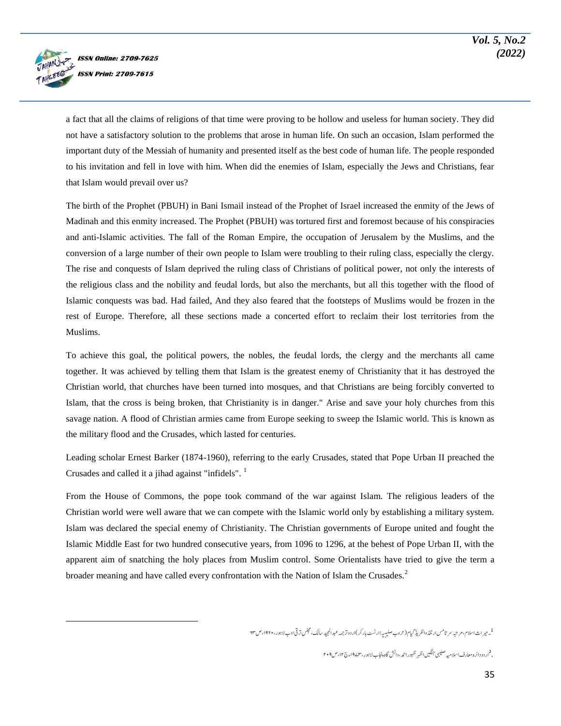

 $\overline{a}$ 

a fact that all the claims of religions of that time were proving to be hollow and useless for human society. They did not have a satisfactory solution to the problems that arose in human life. On such an occasion, Islam performed the important duty of the Messiah of humanity and presented itself as the best code of human life. The people responded to his invitation and fell in love with him. When did the enemies of Islam, especially the Jews and Christians, fear that Islam would prevail over us?

The birth of the Prophet (PBUH) in Bani Ismail instead of the Prophet of Israel increased the enmity of the Jews of Madinah and this enmity increased. The Prophet (PBUH) was tortured first and foremost because of his conspiracies and anti-Islamic activities. The fall of the Roman Empire, the occupation of Jerusalem by the Muslims, and the conversion of a large number of their own people to Islam were troubling to their ruling class, especially the clergy. The rise and conquests of Islam deprived the ruling class of Christians of political power, not only the interests of the religious class and the nobility and feudal lords, but also the merchants, but all this together with the flood of Islamic conquests was bad. Had failed, And they also feared that the footsteps of Muslims would be frozen in the rest of Europe. Therefore, all these sections made a concerted effort to reclaim their lost territories from the Muslims.

To achieve this goal, the political powers, the nobles, the feudal lords, the clergy and the merchants all came together. It was achieved by telling them that Islam is the greatest enemy of Christianity that it has destroyed the Christian world, that churches have been turned into mosques, and that Christians are being forcibly converted to Islam, that the cross is being broken, that Christianity is in danger." Arise and save your holy churches from this savage nation. A flood of Christian armies came from Europe seeking to sweep the Islamic world. This is known as the military flood and the Crusades, which lasted for centuries.

Leading scholar Ernest Barker (1874-1960), referring to the early Crusades, stated that Pope Urban II preached the Crusades and called it a jihad against "infidels".  $<sup>1</sup>$ </sup>

From the House of Commons, the pope took command of the war against Islam. The religious leaders of the Christian world were well aware that we can compete with the Islamic world only by establishing a military system. Islam was declared the special enemy of Christianity. The Christian governments of Europe united and fought the Islamic Middle East for two hundred consecutive years, from 1096 to 1296, at the behest of Pope Urban II, with the apparent aim of snatching the holy places from Muslim control. Some Orientalists have tried to give the term a broader meaning and have called every confrontation with the Nation of Islam the Crusades.<sup>2</sup>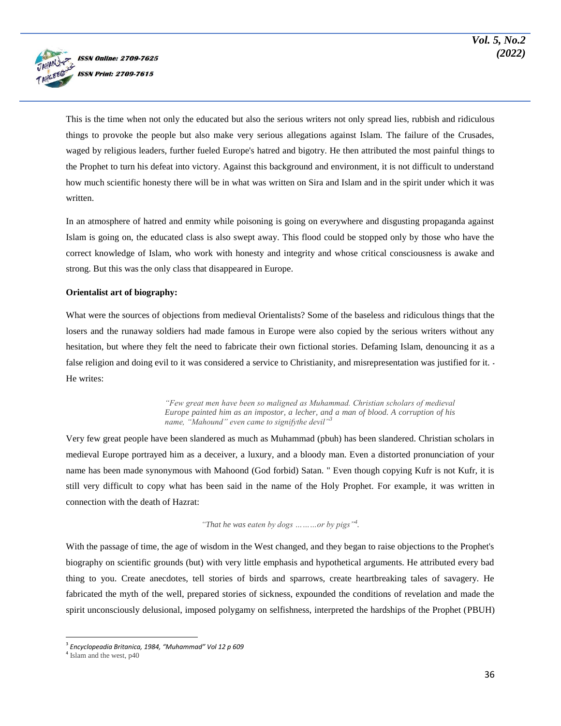

This is the time when not only the educated but also the serious writers not only spread lies, rubbish and ridiculous things to provoke the people but also make very serious allegations against Islam. The failure of the Crusades, waged by religious leaders, further fueled Europe's hatred and bigotry. He then attributed the most painful things to the Prophet to turn his defeat into victory. Against this background and environment, it is not difficult to understand how much scientific honesty there will be in what was written on Sira and Islam and in the spirit under which it was written.

In an atmosphere of hatred and enmity while poisoning is going on everywhere and disgusting propaganda against Islam is going on, the educated class is also swept away. This flood could be stopped only by those who have the correct knowledge of Islam, who work with honesty and integrity and whose critical consciousness is awake and strong. But this was the only class that disappeared in Europe.

#### **Orientalist art of biography:**

What were the sources of objections from medieval Orientalists? Some of the baseless and ridiculous things that the losers and the runaway soldiers had made famous in Europe were also copied by the serious writers without any hesitation, but where they felt the need to fabricate their own fictional stories. Defaming Islam, denouncing it as a false religion and doing evil to it was considered a service to Christianity, and misrepresentation was justified for it. He writes:

> *"Few great men have been so maligned as Muhammad. Christian scholars of medieval Europe painted him as an impostor, a lecher, and a man of blood. A corruption of his name, "Mahound" even came to signifythe devil"<sup>3</sup>*

Very few great people have been slandered as much as Muhammad (pbuh) has been slandered. Christian scholars in medieval Europe portrayed him as a deceiver, a luxury, and a bloody man. Even a distorted pronunciation of your name has been made synonymous with Mahoond (God forbid) Satan. " Even though copying Kufr is not Kufr, it is still very difficult to copy what has been said in the name of the Holy Prophet. For example, it was written in connection with the death of Hazrat:

#### *"That he was eaten by dogs ………or by pigs"<sup>4</sup> .*

With the passage of time, the age of wisdom in the West changed, and they began to raise objections to the Prophet's biography on scientific grounds (but) with very little emphasis and hypothetical arguments. He attributed every bad thing to you. Create anecdotes, tell stories of birds and sparrows, create heartbreaking tales of savagery. He fabricated the myth of the well, prepared stories of sickness, expounded the conditions of revelation and made the spirit unconsciously delusional, imposed polygamy on selfishness, interpreted the hardships of the Prophet (PBUH)

 $\overline{a}$ 

<sup>3</sup> *Encyclopeadia Britanica, 1984, "Muhammad" Vol 12 p 609*

<sup>&</sup>lt;sup>4</sup> Islam and the west, p40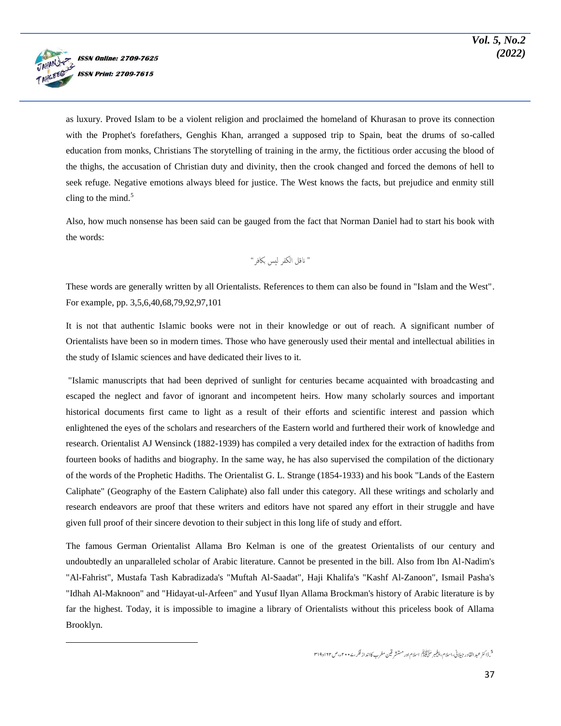

 $\overline{a}$ 

as luxury. Proved Islam to be a violent religion and proclaimed the homeland of Khurasan to prove its connection with the Prophet's forefathers, Genghis Khan, arranged a supposed trip to Spain, beat the drums of so-called education from monks, Christians The storytelling of training in the army, the fictitious order accusing the blood of the thighs, the accusation of Christian duty and divinity, then the crook changed and forced the demons of hell to seek refuge. Negative emotions always bleed for justice. The West knows the facts, but prejudice and enmity still cling to the mind. $5$ 

Also, how much nonsense has been said can be gauged from the fact that Norman Daniel had to start his book with the words:

" انقل الکفر لیس باکفر"

These words are generally written by all Orientalists. References to them can also be found in "Islam and the West". For example, pp. 3,5,6,40,68,79,92,97,101

It is not that authentic Islamic books were not in their knowledge or out of reach. A significant number of Orientalists have been so in modern times. Those who have generously used their mental and intellectual abilities in the study of Islamic sciences and have dedicated their lives to it.

"Islamic manuscripts that had been deprived of sunlight for centuries became acquainted with broadcasting and escaped the neglect and favor of ignorant and incompetent heirs. How many scholarly sources and important historical documents first came to light as a result of their efforts and scientific interest and passion which enlightened the eyes of the scholars and researchers of the Eastern world and furthered their work of knowledge and research. Orientalist AJ Wensinck (1882-1939) has compiled a very detailed index for the extraction of hadiths from fourteen books of hadiths and biography. In the same way, he has also supervised the compilation of the dictionary of the words of the Prophetic Hadiths. The Orientalist G. L. Strange (1854-1933) and his book "Lands of the Eastern Caliphate" (Geography of the Eastern Caliphate) also fall under this category. All these writings and scholarly and research endeavors are proof that these writers and editors have not spared any effort in their struggle and have given full proof of their sincere devotion to their subject in this long life of study and effort.

The famous German Orientalist Allama Bro Kelman is one of the greatest Orientalists of our century and undoubtedly an unparalleled scholar of Arabic literature. Cannot be presented in the bill. Also from Ibn Al-Nadim's "Al-Fahrist", Mustafa Tash Kabradizada's "Muftah Al-Saadat", Haji Khalifa's "Kashf Al-Zanoon", Ismail Pasha's "Idhah Al-Maknoon" and "Hidayat-ul-Arfeen" and Yusuf Ilyan Allama Brockman's history of Arabic literature is by far the highest. Today, it is impossible to imagine a library of Orientalists without this priceless book of Allama Brooklyn.

5 . ڈاکٹر عبدالقادر جیلانی،اسلام، پیغمبر سَلَّاتِیْتِکُم اسلام اور مستشر قین مغرب کاانداز فکر ،۷۰۰ م،ص ۱۲۲و ۲۹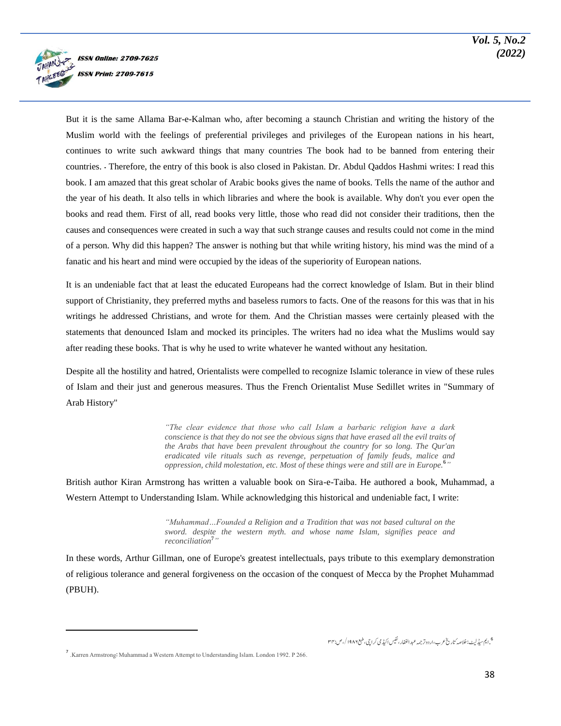

But it is the same Allama Bar-e-Kalman who, after becoming a staunch Christian and writing the history of the Muslim world with the feelings of preferential privileges and privileges of the European nations in his heart, continues to write such awkward things that many countries The book had to be banned from entering their countries. ۔ Therefore, the entry of this book is also closed in Pakistan. Dr. Abdul Qaddos Hashmi writes: I read this book. I am amazed that this great scholar of Arabic books gives the name of books. Tells the name of the author and the year of his death. It also tells in which libraries and where the book is available. Why don't you ever open the books and read them. First of all, read books very little, those who read did not consider their traditions, then the causes and consequences were created in such a way that such strange causes and results could not come in the mind of a person. Why did this happen? The answer is nothing but that while writing history, his mind was the mind of a fanatic and his heart and mind were occupied by the ideas of the superiority of European nations.

It is an undeniable fact that at least the educated Europeans had the correct knowledge of Islam. But in their blind support of Christianity, they preferred myths and baseless rumors to facts. One of the reasons for this was that in his writings he addressed Christians, and wrote for them. And the Christian masses were certainly pleased with the statements that denounced Islam and mocked its principles. The writers had no idea what the Muslims would say after reading these books. That is why he used to write whatever he wanted without any hesitation.

Despite all the hostility and hatred, Orientalists were compelled to recognize Islamic tolerance in view of these rules of Islam and their just and generous measures. Thus the French Orientalist Muse Sedillet writes in "Summary of Arab History"

> *"The clear evidence that those who call Islam a barbaric religion have a dark conscience is that they do not see the obvious signs that have erased all the evil traits of the Arabs that have been prevalent throughout the country for so long. The Qur'an eradicated vile rituals such as revenge, perpetuation of family feuds, malice and oppression, child molestation, etc. Most of these things were and still are in Europe.***<sup>6</sup>** *"*

British author Kiran Armstrong has written a valuable book on Sira-e-Taiba. He authored a book, Muhammad, a Western Attempt to Understanding Islam. While acknowledging this historical and undeniable fact, I write:

> *"Muhammad…Founded a Religion and a Tradition that was not based cultural on the sword. despite the western myth. and whose name Islam, signifies peace and reconciliation***<sup>7</sup>** *"*

In these words, Arthur Gillman, one of Europe's greatest intellectuals, pays tribute to this exemplary demonstration of religious tolerance and general forgiveness on the occasion of the conquest of Mecca by the Prophet Muhammad (PBUH).

6 .ایم سیڈلیٹ: خلاصہ ُ تاریخ عرب،اردو تر جمہ عبد الغفار، نفیس اکیڈ می کراچی، طبع ۱۹۸۷ /،ص:۳۳

 $\overline{\phantom{a}}$ 

<sup>7</sup> .Karren Armstrong: Muhammad a Western Attempt to Understanding Islam. London 1992. P 266.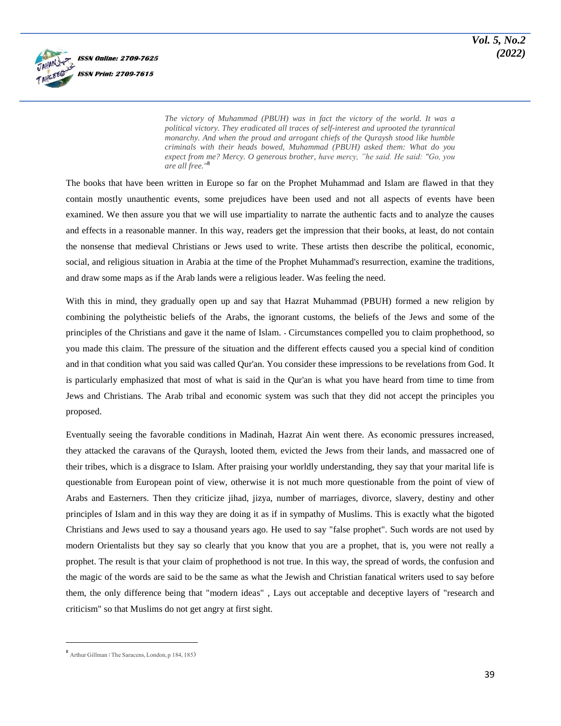

*The victory of Muhammad (PBUH) was in fact the victory of the world. It was a political victory. They eradicated all traces of self-interest and uprooted the tyrannical monarchy. And when the proud and arrogant chiefs of the Quraysh stood like humble criminals with their heads bowed, Muhammad (PBUH) asked them: What do you expect from me? Mercy. O generous brother, have mercy, "he said. He said: "Go, you are all free."***<sup>8</sup>**

The books that have been written in Europe so far on the Prophet Muhammad and Islam are flawed in that they contain mostly unauthentic events, some prejudices have been used and not all aspects of events have been examined. We then assure you that we will use impartiality to narrate the authentic facts and to analyze the causes and effects in a reasonable manner. In this way, readers get the impression that their books, at least, do not contain the nonsense that medieval Christians or Jews used to write. These artists then describe the political, economic, social, and religious situation in Arabia at the time of the Prophet Muhammad's resurrection, examine the traditions, and draw some maps as if the Arab lands were a religious leader. Was feeling the need.

With this in mind, they gradually open up and say that Hazrat Muhammad (PBUH) formed a new religion by combining the polytheistic beliefs of the Arabs, the ignorant customs, the beliefs of the Jews and some of the principles of the Christians and gave it the name of Islam. ۔ Circumstances compelled you to claim prophethood, so you made this claim. The pressure of the situation and the different effects caused you a special kind of condition and in that condition what you said was called Qur'an. You consider these impressions to be revelations from God. It is particularly emphasized that most of what is said in the Qur'an is what you have heard from time to time from Jews and Christians. The Arab tribal and economic system was such that they did not accept the principles you proposed.

Eventually seeing the favorable conditions in Madinah, Hazrat Ain went there. As economic pressures increased, they attacked the caravans of the Quraysh, looted them, evicted the Jews from their lands, and massacred one of their tribes, which is a disgrace to Islam. After praising your worldly understanding, they say that your marital life is questionable from European point of view, otherwise it is not much more questionable from the point of view of Arabs and Easterners. Then they criticize jihad, jizya, number of marriages, divorce, slavery, destiny and other principles of Islam and in this way they are doing it as if in sympathy of Muslims. This is exactly what the bigoted Christians and Jews used to say a thousand years ago. He used to say "false prophet". Such words are not used by modern Orientalists but they say so clearly that you know that you are a prophet, that is, you were not really a prophet. The result is that your claim of prophethood is not true. In this way, the spread of words, the confusion and the magic of the words are said to be the same as what the Jewish and Christian fanatical writers used to say before them, the only difference being that "modern ideas" , Lays out acceptable and deceptive layers of "research and criticism" so that Muslims do not get angry at first sight.

 $\overline{a}$ 

<sup>8</sup> Arthur Gillman : The Saracens, London, p 184, 185)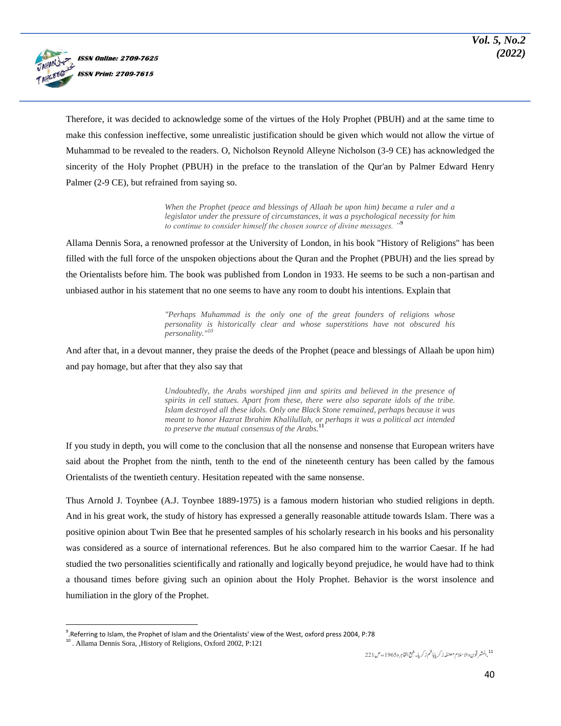

Therefore, it was decided to acknowledge some of the virtues of the Holy Prophet (PBUH) and at the same time to make this confession ineffective, some unrealistic justification should be given which would not allow the virtue of Muhammad to be revealed to the readers. O, Nicholson Reynold Alleyne Nicholson (3-9 CE) has acknowledged the sincerity of the Holy Prophet (PBUH) in the preface to the translation of the Qur'an by Palmer Edward Henry Palmer (2-9 CE), but refrained from saying so.

> *When the Prophet (peace and blessings of Allaah be upon him) became a ruler and a legislator under the pressure of circumstances, it was a psychological necessity for him to continue to consider himself the chosen source of divine messages. "***<sup>9</sup>**

Allama Dennis Sora, a renowned professor at the University of London, in his book "History of Religions" has been filled with the full force of the unspoken objections about the Quran and the Prophet (PBUH) and the lies spread by the Orientalists before him. The book was published from London in 1933. He seems to be such a non-partisan and unbiased author in his statement that no one seems to have any room to doubt his intentions. Explain that

> *"Perhaps Muhammad is the only one of the great founders of religions whose personality is historically clear and whose superstitions have not obscured his personality."<sup>10</sup>*

And after that, in a devout manner, they praise the deeds of the Prophet (peace and blessings of Allaah be upon him) and pay homage, but after that they also say that

> *Undoubtedly, the Arabs worshiped jinn and spirits and believed in the presence of spirits in cell statues. Apart from these, there were also separate idols of the tribe. Islam destroyed all these idols. Only one Black Stone remained, perhaps because it was meant to honor Hazrat Ibrahim Khalilullah, or perhaps it was a political act intended to preserve the mutual consensus of the Arabs.***<sup>11</sup>**

If you study in depth, you will come to the conclusion that all the nonsense and nonsense that European writers have said about the Prophet from the ninth, tenth to the end of the nineteenth century has been called by the famous Orientalists of the twentieth century. Hesitation repeated with the same nonsense.

Thus Arnold J. Toynbee (A.J. Toynbee 1889-1975) is a famous modern historian who studied religions in depth. And in his great work, the study of history has expressed a generally reasonable attitude towards Islam. There was a positive opinion about Twin Bee that he presented samples of his scholarly research in his books and his personality was considered as a source of international references. But he also compared him to the warrior Caesar. If he had studied the two personalities scientifically and rationally and logically beyond prejudice, he would have had to think a thousand times before giving such an opinion about the Holy Prophet. Behavior is the worst insolence and humiliation in the glory of the Prophet.

 $\overline{\phantom{a}}$ 9 .Referring to Islam, the Prophet of Islam and the Orientalists' view of the West, oxford press 2004, P:78

<sup>&</sup>lt;sup>10</sup>. Allama Dennis Sora, ,History of Religions, Oxford 2002, P:121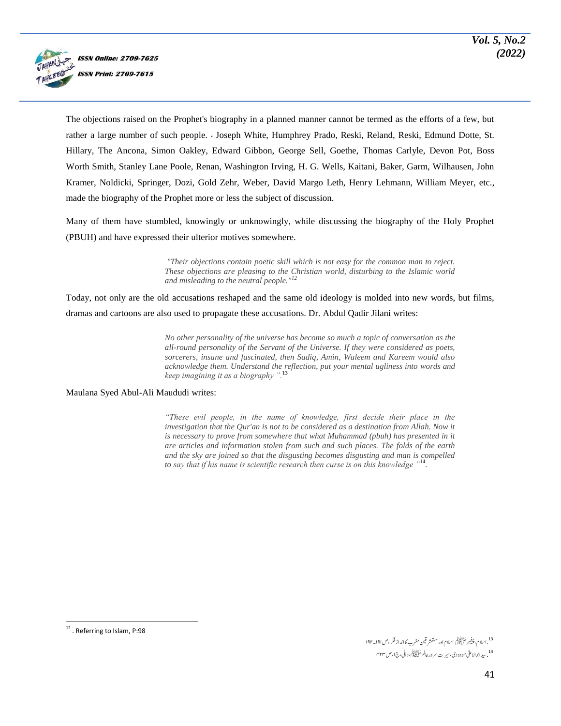

The objections raised on the Prophet's biography in a planned manner cannot be termed as the efforts of a few, but rather a large number of such people. ۔ Joseph White, Humphrey Prado, Reski, Reland, Reski, Edmund Dotte, St. Hillary, The Ancona, Simon Oakley, Edward Gibbon, George Sell, Goethe, Thomas Carlyle, Devon Pot, Boss Worth Smith, Stanley Lane Poole, Renan, Washington Irving, H. G. Wells, Kaitani, Baker, Garm, Wilhausen, John Kramer, Noldicki, Springer, Dozi, Gold Zehr, Weber, David Margo Leth, Henry Lehmann, William Meyer, etc., made the biography of the Prophet more or less the subject of discussion.

Many of them have stumbled, knowingly or unknowingly, while discussing the biography of the Holy Prophet (PBUH) and have expressed their ulterior motives somewhere.

> *"Their objections contain poetic skill which is not easy for the common man to reject. These objections are pleasing to the Christian world, disturbing to the Islamic world and misleading to the neutral people."<sup>12</sup>*

Today, not only are the old accusations reshaped and the same old ideology is molded into new words, but films, dramas and cartoons are also used to propagate these accusations. Dr. Abdul Qadir Jilani writes:

> *No other personality of the universe has become so much a topic of conversation as the all-round personality of the Servant of the Universe. If they were considered as poets, sorcerers, insane and fascinated, then Sadiq, Amin, Waleem and Kareem would also acknowledge them. Understand the reflection, put your mental ugliness into words and keep imagining it as a biography ".***<sup>13</sup>**

Maulana Syed Abul-Ali Maududi writes:

*"These evil people, in the name of knowledge, first decide their place in the*  investigation that the Qur'an is not to be considered as a destination from Allah. Now it *is necessary to prove from somewhere that what Muhammad (pbuh) has presented in it are articles and information stolen from such and such places. The folds of the earth and the sky are joined so that the disgusting becomes disgusting and man is compelled to say that if his name is scientific research then curse is on this knowledge "***<sup>14</sup>** *.*

<sup>13</sup>. اسلام، پیغیبر سَلَمَ السِّلِيمَ اسلام اور مستنشر قین مغرب کاانداز فکر ،ص ۱۹۱۔۱۹۲ <sup>14</sup> . سید ابوالا علیٰ مو دودی، سیر ت سرور عالم صَلَّاتِیْتِکُمْ، دیلی، ج ا،ص ۴۲۳

 $\overline{a}$ <sup>12</sup>. Referring to Islam, P:98